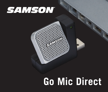## **SAMSON**

# **Go Mic Direct**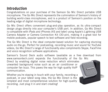## **Introduction**

Congratulations on your purchase of the Samson Go Mic Direct portable USB microphone. The Go Mic Direct represents the culmination of Samson's history of building world-class microphones, and is a product of Samson's position on the leading edge of digital microphone technology.

Go Mic Direct offers convenient plug-and-play operation, as its ultra-compact design plugs directly into your computer's USB port. In addition, Go Mic Direct is compatible with iPads and iPhones (4S and later) using Apple's Lightning USB Camera Adapter or Camera Connection Kit (30-pin), making it a great tool for mobile podcasts, popular speech to text software and field recording.

The Go Mic Direct is the ideal computer-based solution for capturing stunning audio on-the-go. Perfect for podcasting, recording music and sound for YouTube videos, Go Mic Direct's range of functionality also compliments Skype, FaceTime and voice recognition software applications.

Samson's Sound Deck audio software (available as a free download from www.samsontech.com) expands the functionality of the Go Mic Direct by enabling digital noise reduction which eliminates unwanted background noise such as an air conditioner or computer fan buzz. This paves the way for high quality VoIP communication.

Whether you're staying in touch with your family, recording a podcast, or your latest song idea, the Go Mic Direct is the simplest and most comprehensive solution for high-quality recording. Just plug it in and start creating!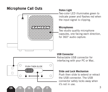#### **Microphone Call Outs**



#### **Status Light**

Two-color LED illuminates green to indicate power and flashes red when the input signal is clipping.

#### **Microphones**

Two studio quality microphone capsules, one facing each direction, for 360° audio capture.

#### **USB Connector**

Retractable USB connector for interfacing with your PC or Mac.

#### **Slide and Lock Mechanism**

Push then slide to extend or retract the USB connector. The USB connector safely locks away when it's not in use.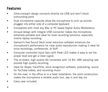## **Features**

- Ultra-compact design connects directly via USB and won't block surrounding ports
- Dual microphone capsules allow the microphone to pick up sounds plugged into either side of a computer keyboard
- Compatible with most any Mac or PC based Digital Audio Workstation.
- Unique design with integral USB connector makes the microphone extremely portable and ideal for most recording solutions, especially mobile laptop recording.
- Samson's free Sound Deck noise reduction software enhances the microphone's performance for clear audio reproduction making it ideal for voice recordings, conferences, or VoIP.
- Computer controlled Input Gain with Peak LED makes it easy to set the proper level and get a clean signal.
- The on-board, high quality AD converters with 16 Bit, 48K sampling rate provide high quality recording.
- Ideal for Skype, FaceTime, voice recognition software, podcasting, sound for YouTube videos, and recording music
- On the road, in the office or in a fixed installation, the solid construction makes the microphone a reliable audio tool, day in and day out
- Carry case included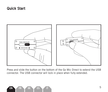#### **Quick Start**



Press and slide the button on the bottom of the Go Mic Direct to extend the USB connector. The USB connector will lock in place when fully extended.

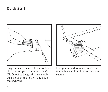#### **Quick Start**



Plug the microphone into an available USB port on your computer. The Go Mic Direct is designed to work with USB ports on the left or right side of the keyboard.



For optimal performance, rotate the microphone so that it faces the sound source.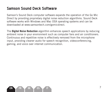### **Samson Sound Deck Software**

Samson's Sound Deck computer software expands the operation of the Go Mic Direct by providing proprietary digital noise reduction algorithms. Sound Deck software works with Windows and Mac OSX operating systems and can be downloaded at www.samsontech.com/gomicdirect.

The **Digital Noise Reduction** algorithm enhances speech applications by reducing ambient noise in your environment such as computer fans and air conditioners. Continuous and repetitive noise is effectively removed from the microphone input, providing cleaner audio for speech recognition, videoconferencing, gaming, and voice over internet communication.

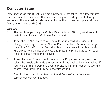## **Computer Setup**

Installing the Go Mic Direct is a simple procedure that takes just a few minutes. Simply connect the included USB cable and begin recording. The following sections of this manual provide detailed instructions on setting up your Go Mic Direct in Windows or MAC OS.

#### **Windows**

- 1. The first time you plug the Go Mic Direct into a USB port, Windows will install the universal USB drivers for that port.
- 2. To set the Go Mic Direct as your default input/recording device, or to change its settings, open the Control Panel, Hardware & Sound settings, then click SOUND. Under Recording tab, you can select the Samson Go Mic Direct from the list of devices and press the Set Default button to set it as the default audio input device.
- 3. To set the gain of the microphone, click the Properties button, and then select the Levels tab. Slide the control until the desired level is reached. If you find that the microphone's red clip LED is lighting frequently, turn this control down until the LED no longer flashes red.
- 4. Download and install the Samson Sound Deck software from www. samsontech.com/gomicdirect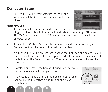## **Computer Setup**

5. Launch the Sound Deck software (found in the Windows task bar) to turn on the noise reduction filters.

#### **Apple MAC OSX**

- 1. To start using the Samson Go Mic Direct, simply plug it in. The LED will illuminate to indicate it is receiving USB power. The MAC will recognize the USB audio device and automatically install a universal driver.
- 2. To select the Go Mic Direct as the computer's audio input, open System Preferences from the dock or the main Apple Menu.
- 3. Next, open the Sound preferences, choose the Input tab and select Go Mic Direct. To set the gain of the microphone, adjust the Input volume slider at the bottom of the Sound dialog box. The Input Level meter will show the recording level.
- 4. Download and install the Samson Sound Deck software from www.samsontech.com/gomicdirect
- 5. In the Control Panel, click on the Samson Sound Deck icon to launch the software and turn on the noise reduction filters.



Paranta



**Illians** R

Cincine

9 **EN FR DE ES IT**